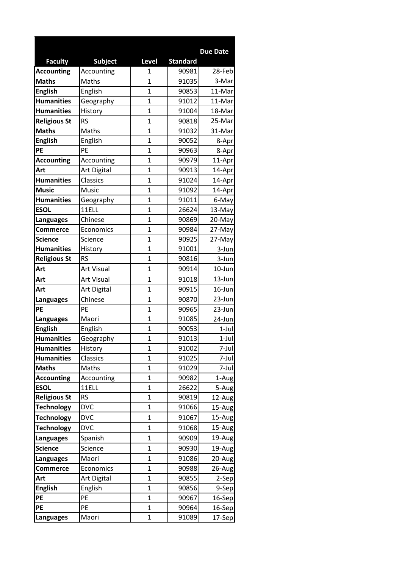|                     |                   |                |                 | <b>Due Date</b> |
|---------------------|-------------------|----------------|-----------------|-----------------|
| <b>Faculty</b>      | <b>Subject</b>    | Level          | <b>Standard</b> |                 |
| <b>Accounting</b>   | Accounting        | 1              | 90981           | 28-Feb          |
| <b>Maths</b>        | Maths             | $\mathbf{1}$   | 91035           | 3-Mar           |
| <b>English</b>      | English           | $\mathbf{1}$   | 90853           | 11-Mar          |
| <b>Humanities</b>   | Geography         | $\mathbf{1}$   | 91012           | 11-Mar          |
| <b>Humanities</b>   | History           | 1              | 91004           | 18-Mar          |
| <b>Religious St</b> | <b>RS</b>         | $\overline{1}$ | 90818           | 25-Mar          |
| <b>Maths</b>        | Maths             | $\overline{1}$ | 91032           | 31-Mar          |
| <b>English</b>      | English           | $\mathbf 1$    | 90052           | 8-Apr           |
| PE                  | PE                | 1              | 90963           | 8-Apr           |
| <b>Accounting</b>   | Accounting        | $\overline{1}$ | 90979           | 11-Apr          |
| Art                 | Art Digital       | $\overline{1}$ | 90913           | 14-Apr          |
| <b>Humanities</b>   | Classics          | $\overline{1}$ | 91024           | 14-Apr          |
| <b>Music</b>        | Music             | 1              | 91092           | 14-Apr          |
| <b>Humanities</b>   | Geography         | 1              | 91011           | 6-May           |
| <b>ESOL</b>         | 11ELL             | $\overline{1}$ | 26624           | 13-May          |
| <b>Languages</b>    | Chinese           | $\mathbf{1}$   | 90869           | 20-May          |
| <b>Commerce</b>     | Economics         | $\mathbf 1$    | 90984           | 27-May          |
| <b>Science</b>      | Science           | $\mathbf{1}$   | 90925           | 27-May          |
| <b>Humanities</b>   | History           | $\overline{1}$ | 91001           | 3-Jun           |
| <b>Religious St</b> | <b>RS</b>         | $\overline{1}$ | 90816           | 3-Jun           |
| Art                 | Art Visual        | $\overline{1}$ | 90914           | $10$ -Jun       |
| Art                 | <b>Art Visual</b> | 1              | 91018           | $13 - Jun$      |
| Art                 | Art Digital       | $\overline{1}$ | 90915           | 16-Jun          |
| <b>Languages</b>    | Chinese           | 1              | 90870           | 23-Jun          |
| PE                  | PE                | $\overline{1}$ | 90965           | 23-Jun          |
| <b>Languages</b>    | Maori             | 1              | 91085           | 24-Jun          |
| <b>English</b>      | English           | $\overline{1}$ | 90053           | 1-Jul           |
| <b>Humanities</b>   | Geography         | $\overline{1}$ | 91013           | $1$ -Jul        |
| <b>Humanities</b>   | History           | $\mathbf{1}$   | 91002           | 7-Jul           |
| <b>Humanities</b>   | Classics          | 1              | 91025           | 7-Jul           |
| <b>Maths</b>        | Maths             | $\mathbf{1}$   | 91029           | 7-Jul           |
| <b>Accounting</b>   | Accounting        | $\mathbf{1}$   | 90982           | 1-Aug           |
| <b>ESOL</b>         | 11ELL             | $\mathbf 1$    | 26622           | 5-Aug           |
| <b>Religious St</b> | <b>RS</b>         | $\mathbf{1}$   | 90819           | 12-Aug          |
| <b>Technology</b>   | <b>DVC</b>        | $\mathbf{1}$   | 91066           | 15-Aug          |
| <b>Technology</b>   | <b>DVC</b>        | $\mathbf{1}$   | 91067           | 15-Aug          |
| <b>Technology</b>   | <b>DVC</b>        | $\mathbf{1}$   | 91068           | $15$ -Aug       |
| <b>Languages</b>    | Spanish           | $\mathbf{1}$   | 90909           | 19-Aug          |
| <b>Science</b>      | Science           | $\mathbf 1$    | 90930           | 19-Aug          |
| <b>Languages</b>    | Maori             | $\mathbf{1}$   | 91086           | 20-Aug          |
| <b>Commerce</b>     | Economics         | $\mathbf{1}$   | 90988           | $26$ -Aug       |
| Art                 | Art Digital       | 1              | 90855           | 2-Sep           |
| <b>English</b>      | English           | $\mathbf{1}$   | 90856           | 9-Sep           |
| PE                  | PE                | $\mathbf{1}$   | 90967           | $16$ -Sep       |
| PE                  | PE                | $\mathbf{1}$   | 90964           | 16-Sep          |
| <b>Languages</b>    | Maori             | $\mathbf{1}$   | 91089           | 17-Sep          |